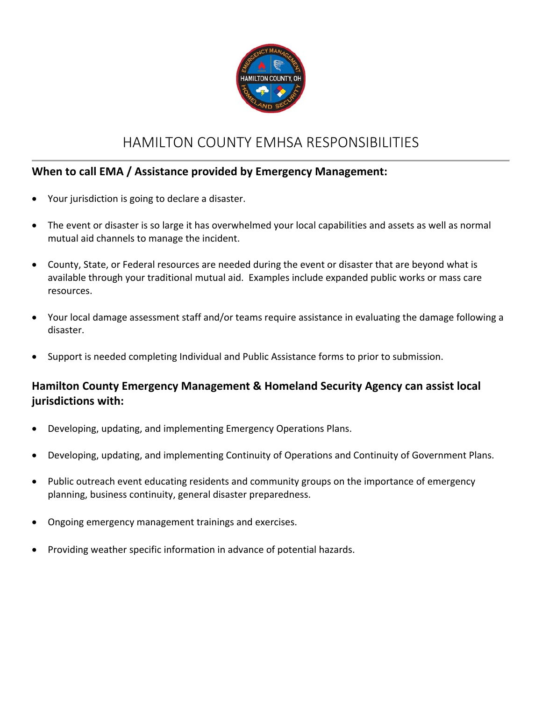

## HAMILTON COUNTY EMHSA RESPONSIBILITIES

#### **When to call EMA / Assistance provided by Emergency Management:**

- Your jurisdiction is going to declare a disaster.
- The event or disaster is so large it has overwhelmed your local capabilities and assets as well as normal mutual aid channels to manage the incident.
- County, State, or Federal resources are needed during the event or disaster that are beyond what is available through your traditional mutual aid. Examples include expanded public works or mass care resources.
- Your local damage assessment staff and/or teams require assistance in evaluating the damage following a disaster.
- Support is needed completing Individual and Public Assistance forms to prior to submission.

### **Hamilton County Emergency Management & Homeland Security Agency can assist local jurisdictions with:**

- Developing, updating, and implementing Emergency Operations Plans.
- Developing, updating, and implementing Continuity of Operations and Continuity of Government Plans.
- Public outreach event educating residents and community groups on the importance of emergency planning, business continuity, general disaster preparedness.
- Ongoing emergency management trainings and exercises.
- Providing weather specific information in advance of potential hazards.